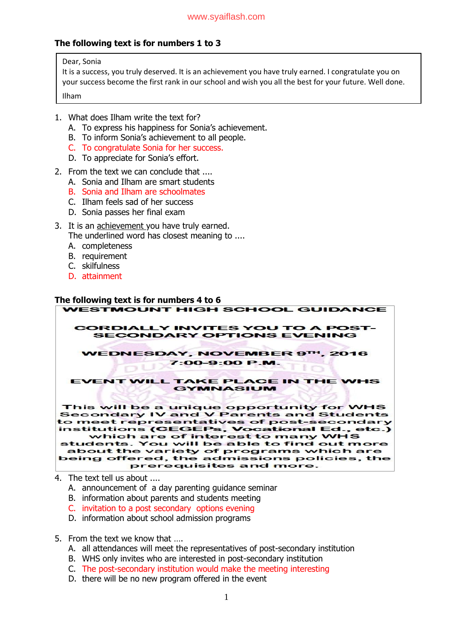## **The following text is for numbers 1 to 3**

Dear, Sonia

It is a success, you truly deserved. It is an achievement you have truly earned. I congratulate you on your success become the first rank in our school and wish you all the best for your future. Well done. Ilham

- 1. What does Ilham write the text for?
	- A. To express his happiness for Sonia's achievement.
	- B. To inform Sonia's achievement to all people.
	- C. To congratulate Sonia for her success.
	- D. To appreciate for Sonia's effort.
- 2. From the text we can conclude that ....
	- A. Sonia and Ilham are smart students
	- B. Sonia and Ilham are schoolmates
	- C. Ilham feels sad of her success
	- D. Sonia passes her final exam
- 3. It is an achievement you have truly earned.
	- The underlined word has closest meaning to ....
	- A. completeness
	- B. requirement
	- C. skilfulness
	- D. attainment

# **The following text is for numbers 4 to 6**



- 4. The text tell us about ....
	- A. announcement of a day parenting guidance seminar
	- B. information about parents and students meeting
	- C. invitation to a post secondary options evening
	- D. information about school admission programs
- 5. From the text we know that ….
	- A. all attendances will meet the representatives of post-secondary institution
	- B. WHS only invites who are interested in post-secondary institution
	- C. The post-secondary institution would make the meeting interesting
	- D. there will be no new program offered in the event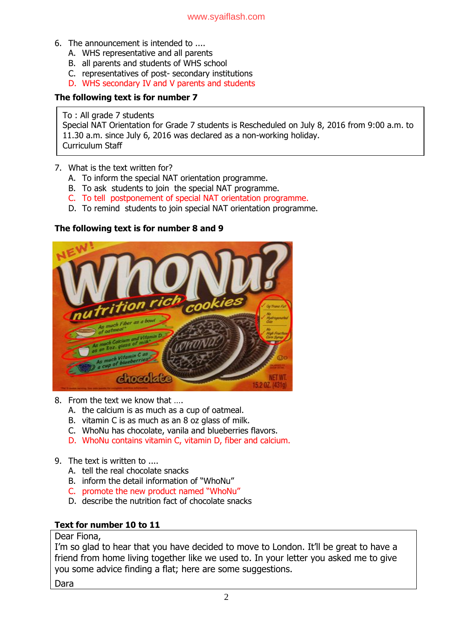- 6. The announcement is intended to ....
	- A. WHS representative and all parents
	- B. all parents and students of WHS school
	- C. representatives of post- secondary institutions
	- D. WHS secondary IV and V parents and students

## **The following text is for number 7**

### To : All grade 7 students

Special NAT Orientation for Grade 7 students is Rescheduled on July 8, 2016 from 9:00 a.m. to 11.30 a.m. since July 6, 2016 was declared as a non-working holiday. Curriculum Staff

- 7. What is the text written for?
	- A. To inform the special NAT orientation programme.
	- B. To ask students to join the special NAT programme.
	- C. To tell postponement of special NAT orientation programme.
	- D. To remind students to join special NAT orientation programme.

## **The following text is for number 8 and 9**



- 8. From the text we know that ….
	- A. the calcium is as much as a cup of oatmeal.
	- B. vitamin C is as much as an 8 oz glass of milk.
	- C. WhoNu has chocolate, vanila and blueberries flavors.
	- D. WhoNu contains vitamin C, vitamin D, fiber and calcium.
- 9. The text is written to ....
	- A. tell the real chocolate snacks
	- B. inform the detail information of "WhoNu"
	- C. promote the new product named "WhoNu"
	- D. describe the nutrition fact of chocolate snacks

## **Text for number 10 to 11**

## Dear Fiona,

I'm so glad to hear that you have decided to move to London. It'll be great to have a friend from home living together like we used to. In your letter you asked me to give you some advice finding a flat; here are some suggestions.

Dara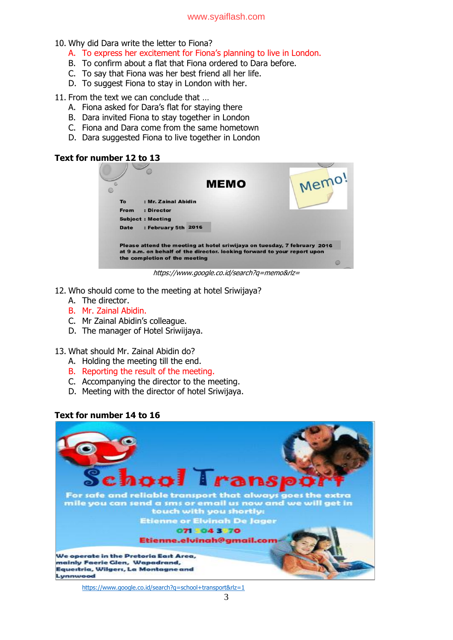- 10. Why did Dara write the letter to Fiona?
	- A. To express her excitement for Fiona's planning to live in London.
	- B. To confirm about a flat that Fiona ordered to Dara before.
	- C. To say that Fiona was her best friend all her life.
	- D. To suggest Fiona to stay in London with her.

#### 11. From the text we can conclude that …

- A. Fiona asked for Dara's flat for staying there
- B. Dara invited Fiona to stay together in London
- C. Fiona and Dara come from the same hometown
- D. Dara suggested Fiona to live together in London

## **Text for number 12 to 13**

|             |                               | <b>MEMO</b>                                                                                                                                          | Memo |
|-------------|-------------------------------|------------------------------------------------------------------------------------------------------------------------------------------------------|------|
| To:         | : Mr. Zainal Abidin           |                                                                                                                                                      |      |
| <b>From</b> | : Director                    |                                                                                                                                                      |      |
|             | <b>Subject: Meeting</b>       |                                                                                                                                                      |      |
| <b>Date</b> | : February 5th 2016           |                                                                                                                                                      |      |
|             | the completion of the meeting | Please attend the meeting at hotel sriwijaya on tuesday, 7 february 2016<br>at 9 a.m. on behalf of the director. looking forward to your report upon |      |

https://www.google.co.id/search?q=memo&rlz=

- 12. Who should come to the meeting at hotel Sriwijaya?
	- A. The director.
	- B. Mr. Zainal Abidin.
	- C. Mr Zainal Abidin's colleague.
	- D. The manager of Hotel Sriwiijaya.

## 13. What should Mr. Zainal Abidin do?

- A. Holding the meeting till the end.
- B. Reporting the result of the meeting.
- C. Accompanying the director to the meeting.
- D. Meeting with the director of hotel Sriwijaya.

## **Text for number 14 to 16**



<https://www.google.co.id/search?q=school+transport&rlz=1>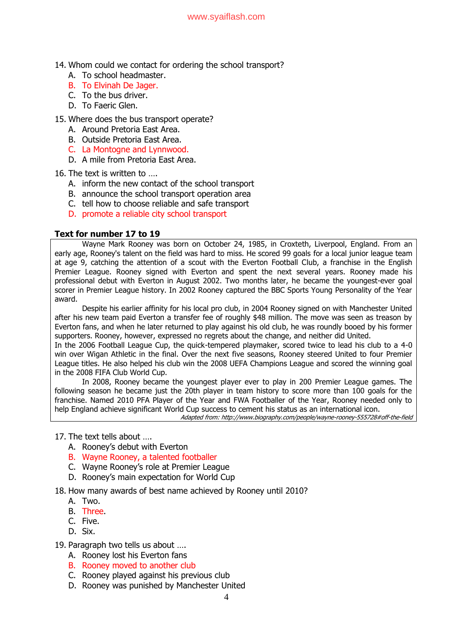- 14. Whom could we contact for ordering the school transport?
	- A. To school headmaster.
	- B. To Elvinah De Jager.
	- C. To the bus driver.
	- D. To Faeric Glen.
- 15. Where does the bus transport operate?
	- A. Around Pretoria East Area.
	- B. Outside Pretoria East Area.
	- C. La Montogne and Lynnwood.
	- D. A mile from Pretoria East Area.
- 16. The text is written to ….
	- A. inform the new contact of the school transport
	- B. announce the school transport operation area
	- C. tell how to choose reliable and safe transport
	- D. promote a reliable city school transport

#### **Text for number 17 to 19**

Wayne Mark Rooney was born on October 24, 1985, in Croxteth, Liverpool, England. From an early age, Rooney's talent on the field was hard to miss. He scored 99 goals for a local junior league team at age 9, catching the attention of a scout with the Everton Football Club, a franchise in the English Premier League. Rooney signed with Everton and spent the next several years. Rooney made his professional debut with Everton in August 2002. Two months later, he became the youngest-ever goal scorer in Premier League history. In 2002 Rooney captured the BBC Sports Young Personality of the Year award.

Despite his earlier affinity for his local pro club, in 2004 Rooney signed on with Manchester United after his new team paid Everton a transfer fee of roughly \$48 million. The move was seen as treason by Everton fans, and when he later returned to play against his old club, he was roundly booed by his former supporters. Rooney, however, expressed no regrets about the change, and neither did United.

In the 2006 Football League Cup, the quick-tempered playmaker, scored twice to lead his club to a 4-0 win over Wigan Athletic in the final. Over the next five seasons, Rooney steered United to four Premier League titles. He also helped his club win the 2008 UEFA Champions League and scored the winning goal in the 2008 FIFA Club World Cup.

In 2008, Rooney became the youngest player ever to play in 200 Premier League games. The following season he became just the 20th player in team history to score more than 100 goals for the franchise. Named 2010 PFA Player of the Year and FWA Footballer of the Year, Rooney needed only to help England achieve significant World Cup success to cement his status as an international icon.

Adapted from: http://www.biography.com/people/wayne-rooney-555728#off-the-field

## 17. The text tells about ….

- A. Rooney's debut with Everton
- B. Wayne Rooney, a talented footballer
- C. Wayne Rooney's role at Premier League
- D. Rooney's main expectation for World Cup
- 18. How many awards of best name achieved by Rooney until 2010?
	- A. Two.
	- B. Three.
	- C. Five.
	- D. Six.
- 19. Paragraph two tells us about ….
	- A. Rooney lost his Everton fans
	- B. Rooney moved to another club
	- C. Rooney played against his previous club
	- D. Rooney was punished by Manchester United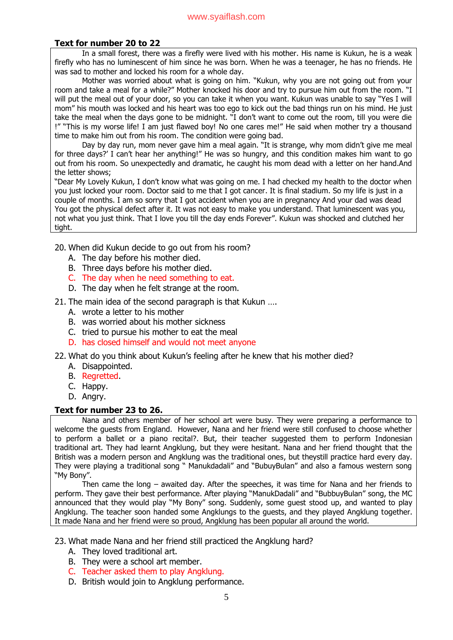## **Text for number 20 to 22**

In a small forest, there was a firefly were lived with his mother. His name is Kukun, he is a weak firefly who has no luminescent of him since he was born. When he was a teenager, he has no friends. He was sad to mother and locked his room for a whole day.

Mother was worried about what is going on him. "Kukun, why you are not going out from your room and take a meal for a while?" Mother knocked his door and try to pursue him out from the room. "I will put the meal out of your door, so you can take it when you want. Kukun was unable to say "Yes I will mom" his mouth was locked and his heart was too ego to kick out the bad things run on his mind. He just take the meal when the days gone to be midnight. "I don't want to come out the room, till you were die !" "This is my worse life! I am just flawed boy! No one cares me!" He said when mother try a thousand time to make him out from his room. The condition were going bad.

Day by day run, mom never gave him a meal again. "It is strange, why mom didn't give me meal for three days?' I can't hear her anything!" He was so hungry, and this condition makes him want to go out from his room. So unexpectedly and dramatic, he caught his mom dead with a letter on her hand.And the letter shows;

"Dear My Lovely Kukun, I don't know what was going on me. I had checked my health to the doctor when you just locked your room. Doctor said to me that I got cancer. It is final stadium. So my life is just in a couple of months. I am so sorry that I got accident when you are in pregnancy And your dad was dead You got the physical defect after it. It was not easy to make you understand. That luminescent was you, not what you just think. That I love you till the day ends Forever". Kukun was shocked and clutched her tight.

20. When did Kukun decide to go out from his room?

- A. The day before his mother died.
- B. Three days before his mother died.
- C. The day when he need something to eat.
- D. The day when he felt strange at the room.

21. The main idea of the second paragraph is that Kukun ….

- A. wrote a letter to his mother
- B. was worried about his mother sickness
- C. tried to pursue his mother to eat the meal
- D. has closed himself and would not meet anyone

22. What do you think about Kukun's feeling after he knew that his mother died?

- A. Disappointed.
- B. Regretted.
- C. Happy.
- D. Angry.

## **Text for number 23 to 26.**

Nana and others member of her school art were busy. They were preparing a performance to welcome the guests from England. However, Nana and her friend were still confused to choose whether to perform a ballet or a piano recital?. But, their teacher suggested them to perform Indonesian traditional art. They had learnt Angklung, but they were hesitant. Nana and her friend thought that the British was a modern person and Angklung was the traditional ones, but theystill practice hard every day. They were playing a traditional song " Manukdadali" and "BubuyBulan" and also a famous western song "My Bony".

Then came the long – awaited day. After the speeches, it was time for Nana and her friends to perform. They gave their best performance. After playing "ManukDadali" and "BubbuyBulan" song, the MC announced that they would play "My Bony" song. Suddenly, some guest stood up, and wanted to play Angklung. The teacher soon handed some Angklungs to the guests, and they played Angklung together. It made Nana and her friend were so proud, Angklung has been popular all around the world.

23. What made Nana and her friend still practiced the Angklung hard?

- A. They loved traditional art.
- B. They were a school art member.
- C. Teacher asked them to play Angklung.
- D. British would join to Angklung performance.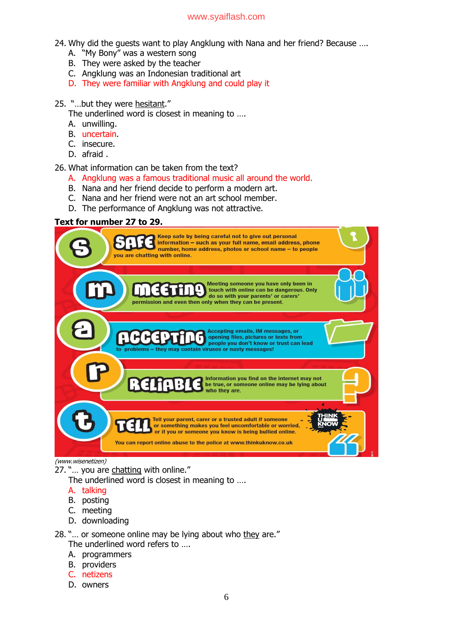## [www.syaiflash.com](http://www.syaiflash.com/)

- 24. Why did the guests want to play Angklung with Nana and her friend? Because ….
	- A. "My Bony" was a western song
	- B. They were asked by the teacher
	- C. Angklung was an Indonesian traditional art
	- D. They were familiar with Angklung and could play it

### 25. "…but they were hesitant."

The underlined word is closest in meaning to ....

- A. unwilling.
- B. uncertain.
- C. insecure.
- D. afraid .

#### 26. What information can be taken from the text?

- A. Angklung was a famous traditional music all around the world.
- B. Nana and her friend decide to perform a modern art.
- C. Nana and her friend were not an art school member.
- D. The performance of Angklung was not attractive.

## **Text for number 27 to 29.**



#### (www.wisenetizen)

27. "... you are chatting with online."

The underlined word is closest in meaning to ….

- A. talking
- B. posting
- C. meeting
- D. downloading
- 28. "... or someone online may be lying about who they are."
	- The underlined word refers to ….
	- A. programmers
	- B. providers
	- C. netizens
	- D. owners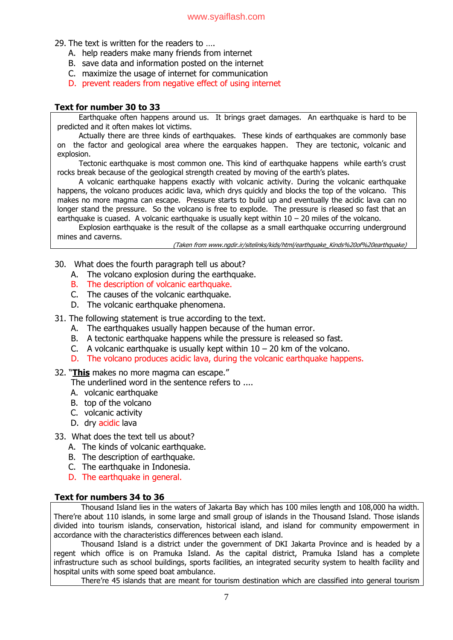29. The text is written for the readers to ….

- A. help readers make many friends from internet
- B. save data and information posted on the internet
- C. maximize the usage of internet for communication
- D. prevent readers from negative effect of using internet

## **Text for number 30 to 33**

Earthquake often happens around us. It brings graet damages. An earthquake is hard to be predicted and it often makes lot victims.

Actually there are three kinds of earthquakes. These kinds of earthquakes are commonly base on the factor and geological area where the earquakes happen. They are tectonic, volcanic and explosion.

Tectonic earthquake is most common one. This kind of earthquake happens while earth's crust rocks break because of the geological strength created by moving of the earth's plates.

A volcanic earthquake happens exactly with volcanic activity. During the volcanic earthquake happens, the volcano produces acidic lava, which drys quickly and blocks the top of the volcano. This makes no more magma can escape. Pressure starts to build up and eventually the acidic lava can no longer stand the pressure. So the volcano is free to explode. The pressure is rleased so fast that an earthquake is cuased. A volcanic earthquake is usually kept within  $10 - 20$  miles of the volcano.

Explosion earthquake is the result of the collapse as a small earthquake occurring underground mines and caverns.

(Taken from www.ngdir.ir/sitelinks/kids/html/earthquake\_Kinds%20of%20earthquake)

- 30. What does the fourth paragraph tell us about?
	- A. The volcano explosion during the earthquake.
	- B. The description of volcanic earthquake.
	- C. The causes of the volcanic earthquake.
	- D. The volcanic earthquake phenomena.
- 31. The following statement is true according to the text.
	- A. The earthquakes usually happen because of the human error.
	- B. A tectonic earthquake happens while the pressure is released so fast.
	- C. A volcanic earthquake is usually kept within  $10 20$  km of the volcano.
	- D. The volcano produces acidic lava, during the volcanic earthquake happens.

32. "**This** makes no more magma can escape."

- The underlined word in the sentence refers to ....
- A. volcanic earthquake
- B. top of the volcano
- C. volcanic activity
- D. dry acidic lava
- 33. What does the text tell us about?
	- A. The kinds of volcanic earthquake.
	- B. The description of earthquake.
	- C. The earthquake in Indonesia.
	- D. The earthquake in general.

## **Text for numbers 34 to 36**

Thousand Island lies in the waters of Jakarta Bay which has 100 miles length and 108,000 ha width. There're about 110 islands, in some large and small group of islands in the Thousand Island. Those islands divided into tourism islands, conservation, historical island, and island for community empowerment in accordance with the characteristics differences between each island.

Thousand Island is a district under the government of DKI Jakarta Province and is headed by a regent which office is on Pramuka Island. As the capital district, Pramuka Island has a complete infrastructure such as school buildings, sports facilities, an integrated security system to health facility and hospital units with some speed boat ambulance.

There're 45 islands that are meant for tourism destination which are classified into general tourism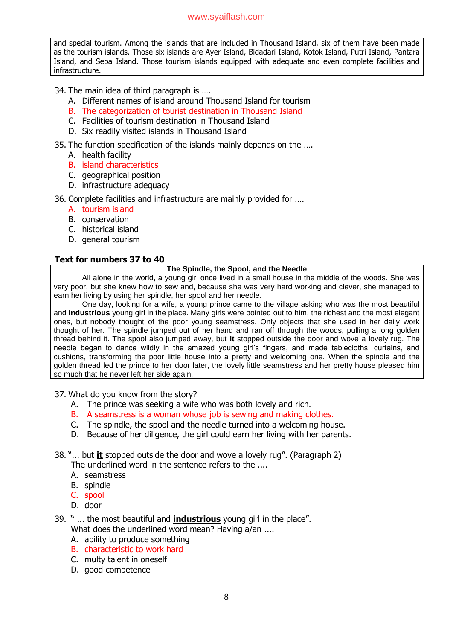## [www.syaiflash.com](http://www.syaiflash.com/)

and special tourism. Among the islands that are included in Thousand Island, six of them have been made as the tourism islands. Those six islands are Ayer Island, Bidadari Island, Kotok Island, Putri Island, Pantara Island, and Sepa Island. Those tourism islands equipped with adequate and even complete facilities and infrastructure.

## 34. The main idea of third paragraph is ….

- A. Different names of island around Thousand Island for tourism
- B. The categorization of tourist destination in Thousand Island
- C. Facilities of tourism destination in Thousand Island
- D. Six readily visited islands in Thousand Island

## 35. The function specification of the islands mainly depends on the ….

- A. health facility
- B. island characteristics
- C. geographical position
- D. infrastructure adequacy

## 36. Complete facilities and infrastructure are mainly provided for ….

- A. tourism island
- B. conservation
- C. historical island
- D. general tourism

## **Text for numbers 37 to 40**

## **The Spindle, the Spool, and the Needle**

All alone in the world, a young girl once lived in a small house in the middle of the woods. She was very poor, but she knew how to sew and, because she was very hard working and clever, she managed to earn her living by using her spindle, her spool and her needle.

One day, looking for a wife, a young prince came to the village asking who was the most beautiful and **industrious** young girl in the place. Many girls were pointed out to him, the richest and the most elegant ones, but nobody thought of the poor young seamstress. Only objects that she used in her daily work thought of her. The spindle jumped out of her hand and ran off through the woods, pulling a long golden thread behind it. The spool also jumped away, but **it** stopped outside the door and wove a lovely rug. The needle began to dance wildly in the amazed young girl's fingers, and made tablecloths, curtains, and cushions, transforming the poor little house into a pretty and welcoming one. When the spindle and the golden thread led the prince to her door later, the lovely little seamstress and her pretty house pleased him so much that he never left her side again.

37. What do you know from the story?

- A. The prince was seeking a wife who was both lovely and rich.
- B. A seamstress is a woman whose job is sewing and making clothes.
- C. The spindle, the spool and the needle turned into a welcoming house.
- D. Because of her diligence, the girl could earn her living with her parents.
- 38. "... but **it** stopped outside the door and wove a lovely rug". (Paragraph 2)

The underlined word in the sentence refers to the ....

- A. seamstress
- B. spindle
- C. spool
- D. door
- 39. " ... the most beautiful and **industrious** young girl in the place".
	- What does the underlined word mean? Having a/an ....
	- A. ability to produce something
	- B. characteristic to work hard
	- C. multy talent in oneself
	- D. good competence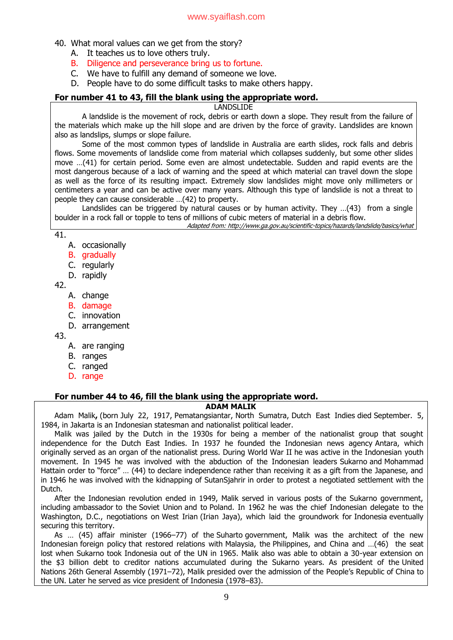- 40. What moral values can we get from the story?
	- A. It teaches us to love others truly.
	- B. Diligence and perseverance bring us to fortune.
	- C. We have to fulfill any demand of someone we love.
	- D. People have to do some difficult tasks to make others happy.

## **For number 41 to 43, fill the blank using the appropriate word.**

LANDSLIDE

A landslide is the movement of rock, debris or earth down a slope. They result from the failure of the materials which make up the hill slope and are driven by the force of gravity. Landslides are known also as landslips, slumps or slope failure.

Some of the most common types of landslide in Australia are earth slides, rock falls and debris flows. Some movements of landslide come from material which collapses suddenly, but some other slides move …(41) for certain period. Some even are almost undetectable. Sudden and rapid events are the most dangerous because of a lack of warning and the speed at which material can travel down the slope as well as the force of its resulting impact. Extremely slow landslides might move only millimeters or centimeters a year and can be active over many years. Although this type of landslide is not a threat to people they can cause considerable …(42) to property.

Landslides can be triggered by natural causes or by human activity. They ...(43) from a single boulder in a rock fall or topple to tens of millions of cubic meters of material in a debris flow.

Adapted from: http://www.ga.gov.au/scientific-topics/hazards/landslide/basics/what

- 41.
	- A. occasionally
	- B. gradually
	- C. regularly
	- D. rapidly
- 42.
	- A. change
	- B. damage
	- C. innovation
	- D. arrangement

43.

- A. are ranging
- B. ranges
- C. ranged
- D. range

## **For number 44 to 46, fill the blank using the appropriate word.**

## **ADAM MALIK**

Adam Malik**,** (born July 22, 1917, [Pematangsiantar,](https://www.britannica.com/place/Pematangsiantar) North [Sumatra,](https://www.britannica.com/place/North-Sumatra) Dutch East [Indies](https://www.britannica.com/place/Dutch-East-Indies) died September. 5, 1984, in [Jakarta](https://www.britannica.com/place/Jakarta) is an Indonesian statesman and nationalist political leader.

Malik was jailed by the Dutch in the 1930s for being a member of the nationalist group that sought independence for the Dutch East Indies. In 1937 he founded the Indonesian news agency Antara, which originally served as an organ of the nationalist press. During [World](https://www.britannica.com/event/World-War-II) War II he was active in the Indonesian youth movement. In 1945 he was involved with the abduction of the Indonesian leaders [Sukarno](https://www.britannica.com/biography/Sukarno) and [Mohammad](https://www.britannica.com/biography/Mohammad-Hatta) [Hatta](https://www.britannica.com/biography/Mohammad-Hatta)in order to "force" … (44) to declare independence rather than receiving it as a gift from the Japanese, and in 1946 he was involved with the kidnapping of [SutanSjahrir](https://www.britannica.com/biography/Sutan-Sjahrir) in order to protest a negotiated settlement with the Dutch.

After the Indonesian revolution ended in 1949, Malik served in various posts of the Sukarno government, including [ambassador](https://www.britannica.com/topic/ambassador) to the [Soviet](https://www.britannica.com/place/Soviet-Union) Union and to [Poland.](https://www.britannica.com/place/Poland) In 1962 he was the chief Indonesian delegate to the Washington, D.C., negotiations on [West](https://www.britannica.com/place/Papua) Irian (Irian Jaya), which laid the groundwork for [Indonesia](https://www.britannica.com/place/Indonesia) eventually securing this territory.

As … (45) affair minister (1966–77) of the [Suharto](https://www.britannica.com/biography/Suharto) government, Malik was the architect of the new Indonesian [foreign](https://www.britannica.com/topic/foreign-policy) policy that restored relations with [Malaysia,](https://www.britannica.com/place/Malaysia) the [Philippines](https://www.britannica.com/place/Philippines), and China and …(46) the seat lost when Sukarno took Indonesia out of the UN in 1965. Malik also was able to obtain a 30-year extension on the \$3 billion debt to creditor nations accumulated during the Sukarno years. As president of the [United](https://www.britannica.com/topic/United-Nations) [Nations](https://www.britannica.com/topic/United-Nations) 26th General Assembly (1971–72), Malik presided over the admission of the People's [Republic](https://www.britannica.com/place/China) of China to the UN. Later he served as vice president of Indonesia (1978–83).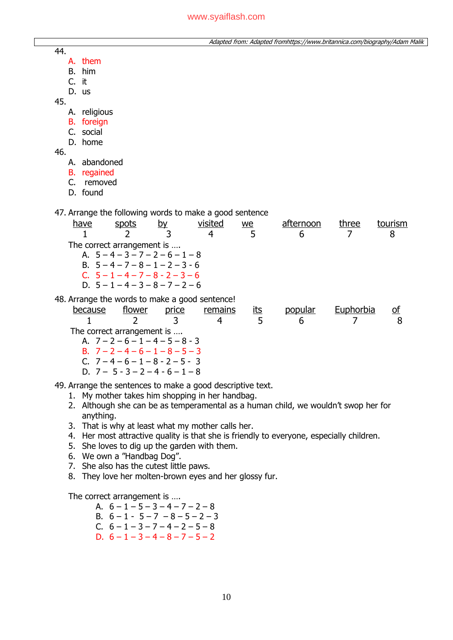Adapted from: Adapted fromhttps://www.britannica.com/biography/Adam Malik

- A. them
- B. him
- C. it
- D. us
- 45.
	- A. religious
	- B. foreign
	- C. social
	- D. home

46.

- A. abandoned
- B. regained
- C. removed
- D. found
- 47. Arrange the following words to make a good sentence

| have                                           | spots                              | by | visited | we | afternoon | three | tourism |
|------------------------------------------------|------------------------------------|----|---------|----|-----------|-------|---------|
|                                                |                                    |    |         |    |           |       |         |
|                                                | The correct arrangement is         |    |         |    |           |       |         |
|                                                | A. $5-4-3-7-2-6-1-8$               |    |         |    |           |       |         |
|                                                | B. $5-4-7-8-1-2-3-6$               |    |         |    |           |       |         |
|                                                | C. $5 - 1 - 4 - 7 - 8 - 2 - 3 - 6$ |    |         |    |           |       |         |
|                                                | D. $5 - 1 - 4 - 3 - 8 - 7 - 2 - 6$ |    |         |    |           |       |         |
| 48. Arrange the words to make a good sentence! |                                    |    |         |    |           |       |         |
|                                                |                                    |    |         |    |           |       |         |

| -<br>hecause | rlower                     | -<br>price | remains | ā | popular | Euphorbia |  |
|--------------|----------------------------|------------|---------|---|---------|-----------|--|
|              |                            |            |         |   |         |           |  |
|              | Fha aassaat assanaanaantia |            |         |   |         |           |  |

 The correct arrangement is …. A.  $7 - 2 - 6 - 1 - 4 - 5 - 8 - 3$ 

- B.  $7 2 4 6 1 8 5 3$
- C.  $7 4 6 1 8 2 5 3$
- D.  $7 5 3 2 4 6 1 8$

49. Arrange the sentences to make a good descriptive text.

- 1. My mother takes him shopping in her handbag.
- 2. Although she can be as temperamental as a human child, we wouldn't swop her for anything.
- 3. That is why at least what my mother calls her.
- 4. Her most attractive quality is that she is friendly to everyone, especially children.
- 5. She loves to dig up the garden with them.
- 6. We own a "Handbag Dog".
- 7. She also has the cutest little paws.
- 8. They love her molten-brown eyes and her glossy fur.

The correct arrangement is ….

- A.  $6 1 5 3 4 7 2 8$ B.  $6 - 1 - 5 - 7 - 8 - 5 - 2 - 3$
- C.  $6 1 3 7 4 2 5 8$
- D.  $6 1 3 4 8 7 5 2$